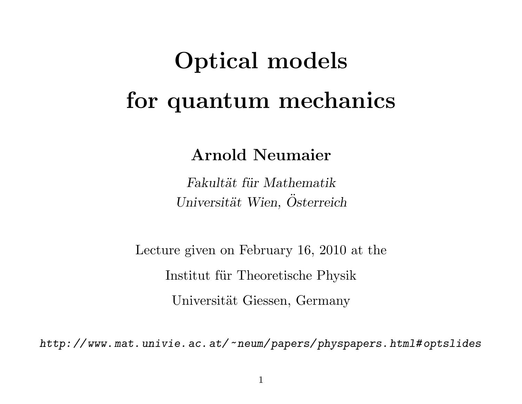# Optical models for quantum mechanics

Arnold Neumaier

Fakultät für Mathematik Universität Wien, Osterreich

Lecture given on February 16, 2010 at the Institut für Theoretische Physik Universität Giessen, Germany

http: // www. mat. univie. ac. at/~neum/ papers/ physpapers. html# optslides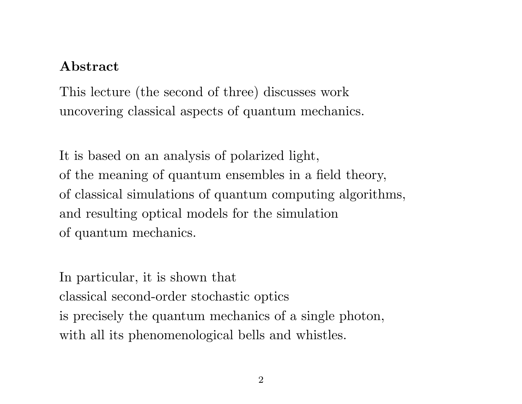#### Abstract

This lecture (the second of three) discusses work uncovering classical aspects of quantum mechanics.

It is based on an analysis of polarized light, of the meaning of quantum ensembles in a field theory, of classical simulations of quantum computing algorithms, and resulting optical models for the simulation of quantum mechanics.

In particular, it is shown that classical second-order stochastic optics is precisely the quantum mechanics of a single photon, with all its phenomenological bells and whistles.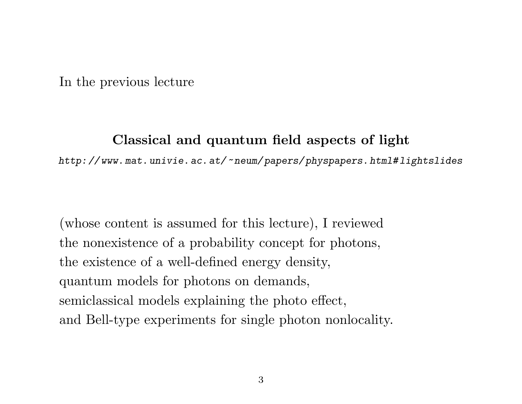In the previous lecture

### Classical and quantum field aspects of light

http: // www. mat. univie. ac. at/~neum/ papers/ physpapers. html# lightslides

(whose content is assumed for this lecture), I reviewed the nonexistence of a probability concept for photons, the existence of a well-defined energy density, quantum models for photons on demands, semiclassical models explaining the photo effect, and Bell-type experiments for single photon nonlocality.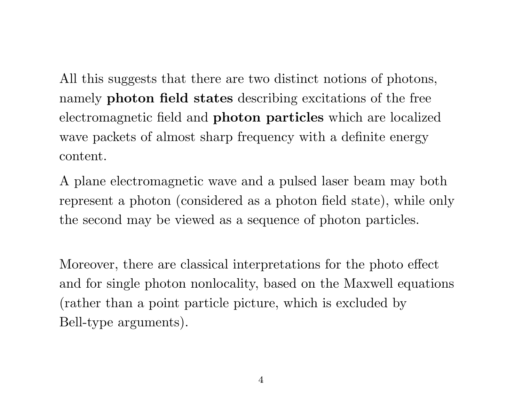All this suggests that there are two distinct notions of photons, namely photon field states describing excitations of the free electromagnetic field and photon particles which are localized wave packets of almost sharp frequency with a definite energy content.

A plane electromagnetic wave and a pulsed laser beam may both represent a photon (considered as a photon field state), while only the second may be viewed as a sequence of photon particles.

Moreover, there are classical interpretations for the photo effect and for single photon nonlocality, based on the Maxwell equations (rather than a point particle picture, which is excluded by Bell-type arguments).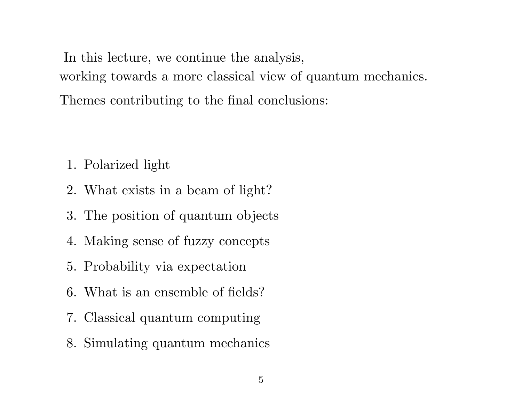In this lecture, we continue the analysis, working towards a more classical view of quantum mechanics. Themes contributing to the final conclusions:

- 1. Polarized light
- 2. What exists in a beam of light?
- 3. The position of quantum objects
- 4. Making sense of fuzzy concepts
- 5. Probability via expectation
- 6. What is an ensemble of fields?
- 7. Classical quantum computing
- 8. Simulating quantum mechanics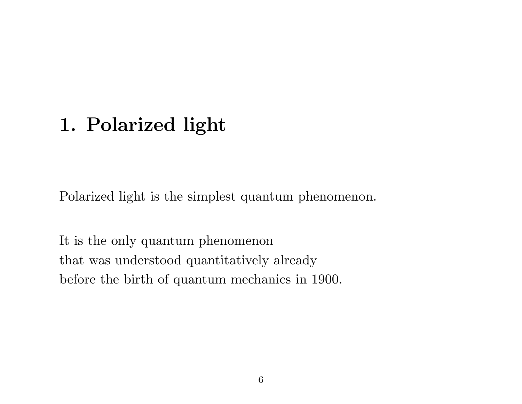# 1. Polarized light

Polarized light is the simplest quantum phenomenon.

It is the only quantum phenomenon that was understood quantitatively already before the birth of quantum mechanics in 1900.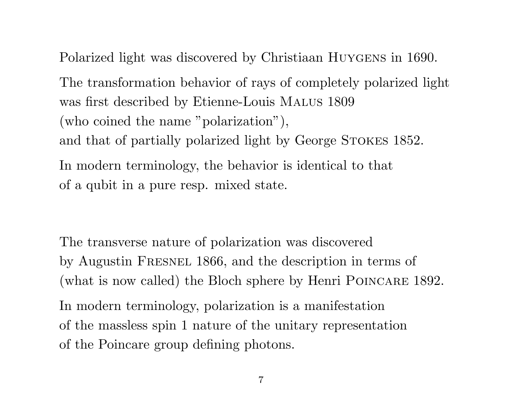Polarized light was discovered by Christiaan Huygens in 1690.

The transformation behavior of rays of completely polarized light was first described by Etienne-Louis Malus 1809 (who coined the name "polarization"), and that of partially polarized light by George STOKES 1852. In modern terminology, the behavior is identical to that of a qubit in a pure resp. mixed state.

The transverse nature of polarization was discovered by Augustin Fresnel 1866, and the description in terms of (what is now called) the Bloch sphere by Henri POINCARE 1892. In modern terminology, polarization is a manifestation

of the massless spin 1 nature of the unitary representation of the Poincare group defining photons.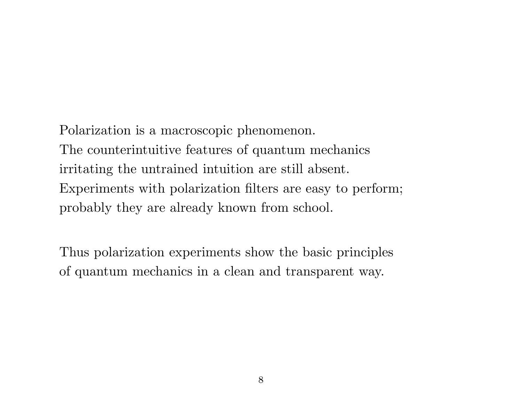Polarization is a macroscopic phenomenon. The counterintuitive features of quantum mechanics irritating the untrained intuition are still absent. Experiments with polarization filters are easy to perform; probably they are already known from school.

Thus polarization experiments show the basic principles of quantum mechanics in a clean and transparent way.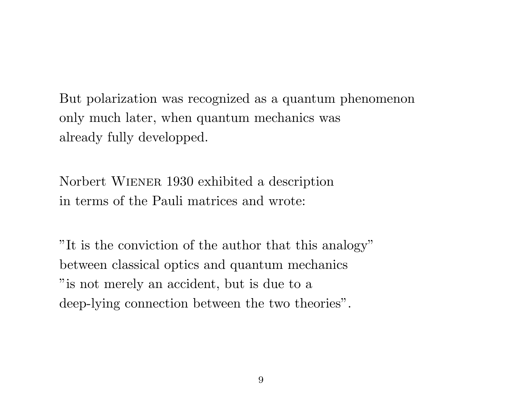But polarization was recognized as a quantum phenomenon only much later, when quantum mechanics was already fully developped.

Norbert Wiener 1930 exhibited a description in terms of the Pauli matrices and wrote:

"It is the conviction of the author that this analogy" between classical optics and quantum mechanics "is not merely an accident, but is due to a deep-lying connection between the two theories".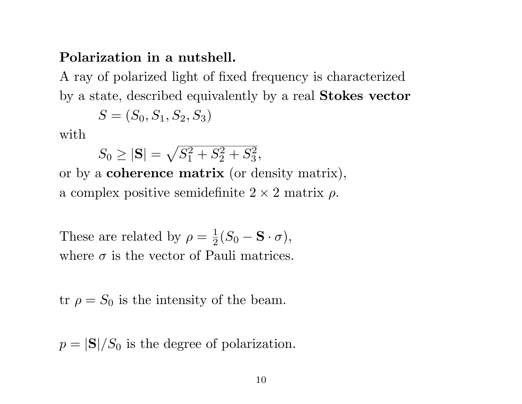#### Polarization in a nutshell.

A ray of polarized light of fixed frequency is characterized by a state, described equivalently by a real Stokes vector

$$
S = (S_0, S_1, S_2, S_3)
$$

with

$$
S_0 \ge |\mathbf{S}| = \sqrt{S_1^2 + S_2^2 + S_3^2},
$$

or by a coherence matrix (or density matrix), a complex positive semidefinite  $2 \times 2$  matrix  $\rho$ .

These are related by  $\rho = \frac{1}{2}$  $\frac{1}{2}(S_0 - \mathbf{S} \cdot \sigma),$ where  $\sigma$  is the vector of Pauli matrices.

tr  $\rho = S_0$  is the intensity of the beam.

 $p = |\mathbf{S}|/S_0$  is the degree of polarization.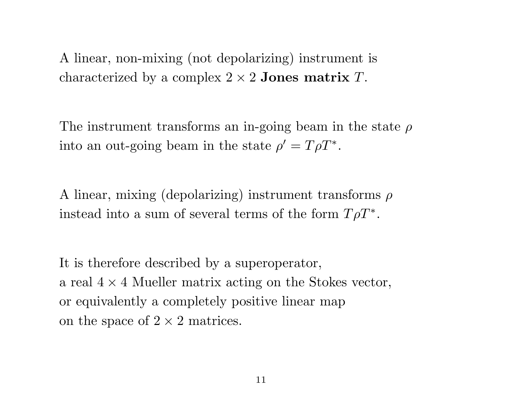A linear, non-mixing (not depolarizing) instrument is characterized by a complex  $2 \times 2$  Jones matrix T.

The instrument transforms an in-going beam in the state  $\rho$ into an out-going beam in the state  $\rho' = T\rho T^*$ .

A linear, mixing (depolarizing) instrument transforms  $\rho$ instead into a sum of several terms of the form  $T\rho T^*$ .

It is therefore described by a superoperator, a real  $4 \times 4$  Mueller matrix acting on the Stokes vector, or equivalently a completely positive linear map on the space of  $2 \times 2$  matrices.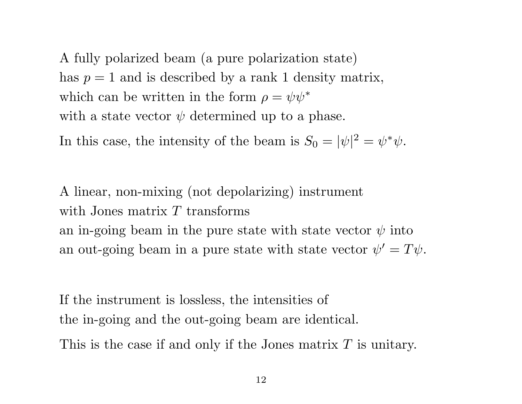A fully polarized beam (a pure polarization state) has  $p = 1$  and is described by a rank 1 density matrix, which can be written in the form  $\rho = \psi \psi^*$ with a state vector  $\psi$  determined up to a phase.

In this case, the intensity of the beam is  $S_0 = |\psi|^2 = \psi^* \psi$ .

A linear, non-mixing (not depolarizing) instrument with Jones matrix  $T$  transforms an in-going beam in the pure state with state vector  $\psi$  into an out-going beam in a pure state with state vector  $\psi' = T\psi$ .

If the instrument is lossless, the intensities of the in-going and the out-going beam are identical. This is the case if and only if the Jones matrix T is unitary.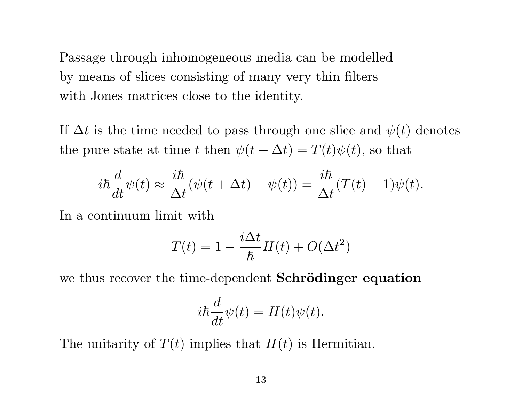Passage through inhomogeneous media can be modelled by means of slices consisting of many very thin filters with Jones matrices close to the identity.

If  $\Delta t$  is the time needed to pass through one slice and  $\psi(t)$  denotes the pure state at time t then  $\psi(t + \Delta t) = T(t)\psi(t)$ , so that

$$
i\hbar \frac{d}{dt}\psi(t) \approx \frac{i\hbar}{\Delta t}(\psi(t + \Delta t) - \psi(t)) = \frac{i\hbar}{\Delta t}(T(t) - 1)\psi(t).
$$

In a continuum limit with

$$
T(t) = 1 - \frac{i\Delta t}{\hbar}H(t) + O(\Delta t^2)
$$

we thus recover the time-dependent **Schrödinger equation** 

$$
i\hbar \frac{d}{dt}\psi(t) = H(t)\psi(t).
$$

The unitarity of  $T(t)$  implies that  $H(t)$  is Hermitian.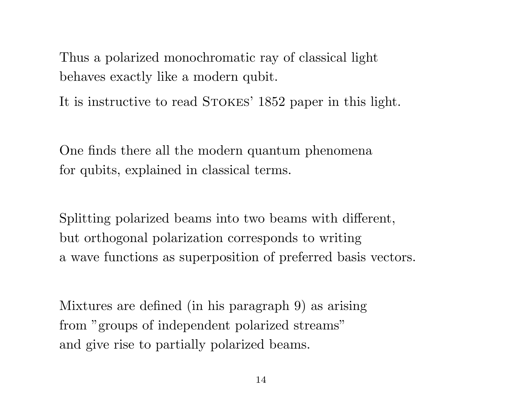Thus a polarized monochromatic ray of classical light behaves exactly like a modern qubit.

It is instructive to read STOKES' 1852 paper in this light.

One finds there all the modern quantum phenomena for qubits, explained in classical terms.

Splitting polarized beams into two beams with different, but orthogonal polarization corresponds to writing a wave functions as superposition of preferred basis vectors.

Mixtures are defined (in his paragraph 9) as arising from "groups of independent polarized streams" and give rise to partially polarized beams.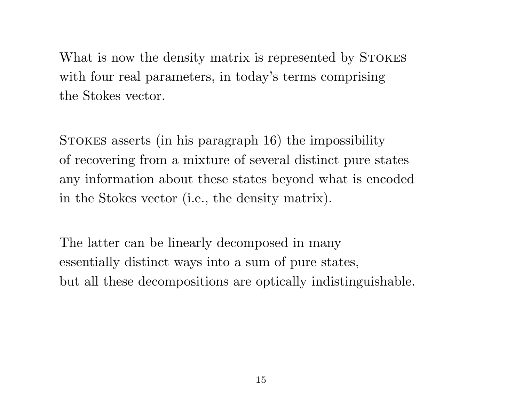What is now the density matrix is represented by STOKES with four real parameters, in today's terms comprising the Stokes vector.

Stokes asserts (in his paragraph 16) the impossibility of recovering from a mixture of several distinct pure states any information about these states beyond what is encoded in the Stokes vector (i.e., the density matrix).

The latter can be linearly decomposed in many essentially distinct ways into a sum of pure states, but all these decompositions are optically indistinguishable.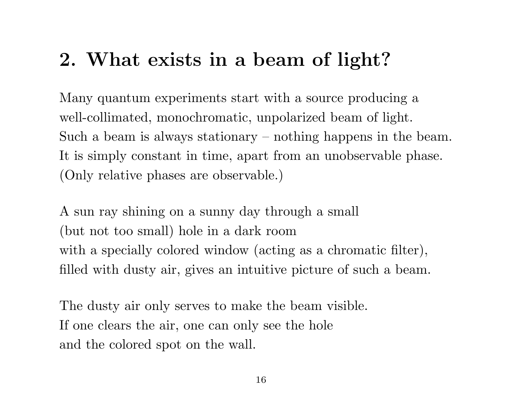# 2. What exists in a beam of light?

Many quantum experiments start with a source producing a well-collimated, monochromatic, unpolarized beam of light. Such a beam is always stationary – nothing happens in the beam. It is simply constant in time, apart from an unobservable phase. (Only relative phases are observable.)

A sun ray shining on a sunny day through a small (but not too small) hole in a dark room with a specially colored window (acting as a chromatic filter), filled with dusty air, gives an intuitive picture of such a beam.

The dusty air only serves to make the beam visible. If one clears the air, one can only see the hole and the colored spot on the wall.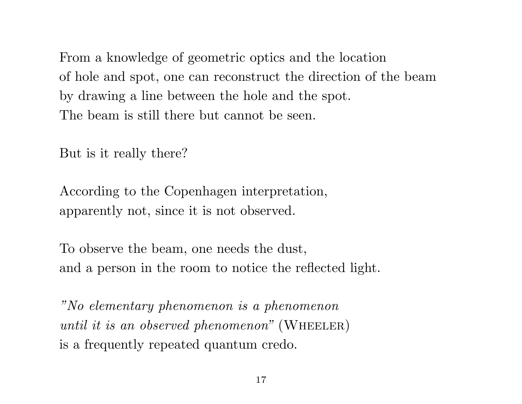From a knowledge of geometric optics and the location of hole and spot, one can reconstruct the direction of the beam by drawing a line between the hole and the spot. The beam is still there but cannot be seen.

But is it really there?

According to the Copenhagen interpretation, apparently not, since it is not observed.

To observe the beam, one needs the dust, and a person in the room to notice the reflected light.

"No elementary phenomenon is a phenomenon until it is an observed phenomenon" (WHEELER) is a frequently repeated quantum credo.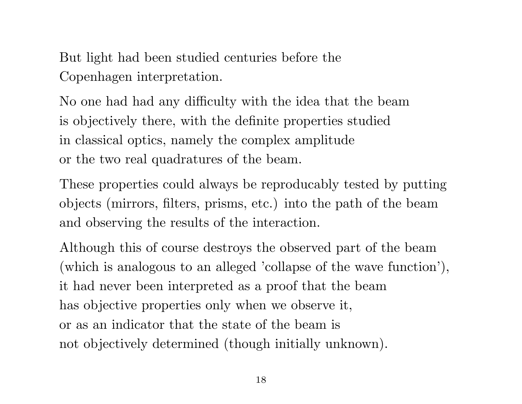But light had been studied centuries before the Copenhagen interpretation.

No one had had any difficulty with the idea that the beam is objectively there, with the definite properties studied in classical optics, namely the complex amplitude or the two real quadratures of the beam.

These properties could always be reproducably tested by putting objects (mirrors, filters, prisms, etc.) into the path of the beam and observing the results of the interaction.

Although this of course destroys the observed part of the beam (which is analogous to an alleged 'collapse of the wave function'), it had never been interpreted as a proof that the beam has objective properties only when we observe it, or as an indicator that the state of the beam is not objectively determined (though initially unknown).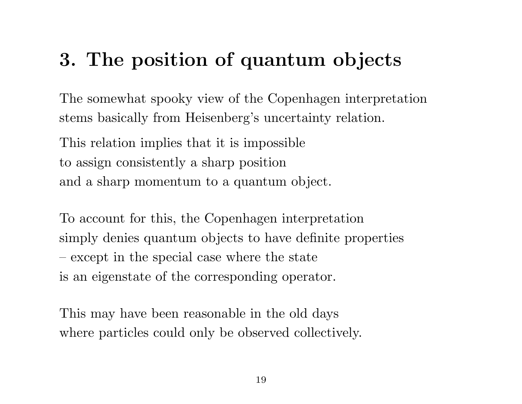# 3. The position of quantum objects

The somewhat spooky view of the Copenhagen interpretation stems basically from Heisenberg's uncertainty relation.

This relation implies that it is impossible to assign consistently a sharp position and a sharp momentum to a quantum object.

To account for this, the Copenhagen interpretation simply denies quantum objects to have definite properties – except in the special case where the state is an eigenstate of the corresponding operator.

This may have been reasonable in the old days where particles could only be observed collectively.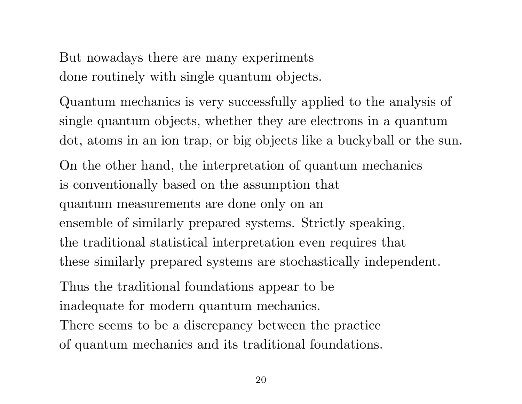But nowadays there are many experiments done routinely with single quantum objects.

Quantum mechanics is very successfully applied to the analysis of single quantum objects, whether they are electrons in a quantum dot, atoms in an ion trap, or big objects like a buckyball or the sun.

On the other hand, the interpretation of quantum mechanics is conventionally based on the assumption that quantum measurements are done only on an ensemble of similarly prepared systems. Strictly speaking, the traditional statistical interpretation even requires that these similarly prepared systems are stochastically independent.

Thus the traditional foundations appear to be

inadequate for modern quantum mechanics.

There seems to be a discrepancy between the practice of quantum mechanics and its traditional foundations.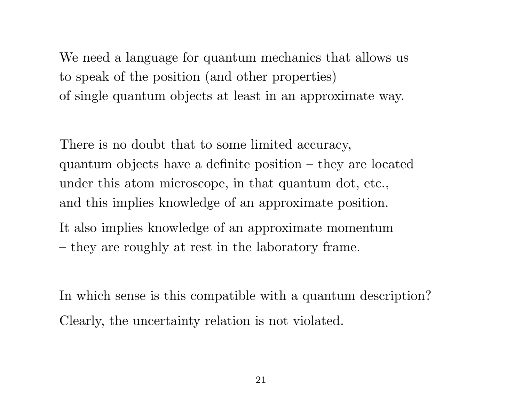We need a language for quantum mechanics that allows us to speak of the position (and other properties) of single quantum objects at least in an approximate way.

There is no doubt that to some limited accuracy, quantum objects have a definite position – they are located under this atom microscope, in that quantum dot, etc., and this implies knowledge of an approximate position. It also implies knowledge of an approximate momentum

– they are roughly at rest in the laboratory frame.

In which sense is this compatible with a quantum description? Clearly, the uncertainty relation is not violated.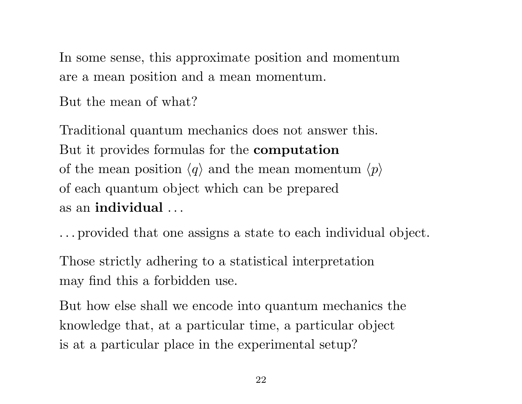In some sense, this approximate position and momentum are a mean position and a mean momentum.

But the mean of what?

Traditional quantum mechanics does not answer this. But it provides formulas for the computation of the mean position  $\langle q \rangle$  and the mean momentum  $\langle p \rangle$ of each quantum object which can be prepared as an individual . . .

. . . provided that one assigns a state to each individual object.

Those strictly adhering to a statistical interpretation may find this a forbidden use.

But how else shall we encode into quantum mechanics the knowledge that, at a particular time, a particular object is at a particular place in the experimental setup?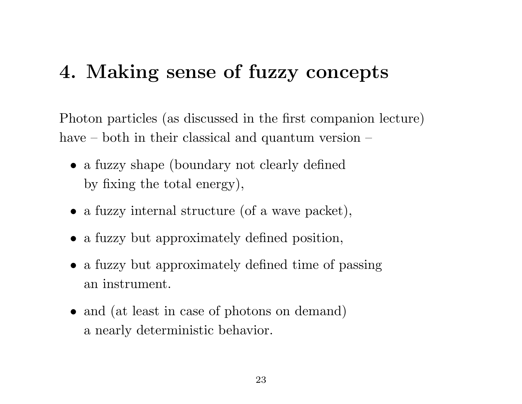### 4. Making sense of fuzzy concepts

Photon particles (as discussed in the first companion lecture) have – both in their classical and quantum version –

- a fuzzy shape (boundary not clearly defined by fixing the total energy),
- a fuzzy internal structure (of a wave packet),
- a fuzzy but approximately defined position,
- a fuzzy but approximately defined time of passing an instrument.
- and (at least in case of photons on demand) a nearly deterministic behavior.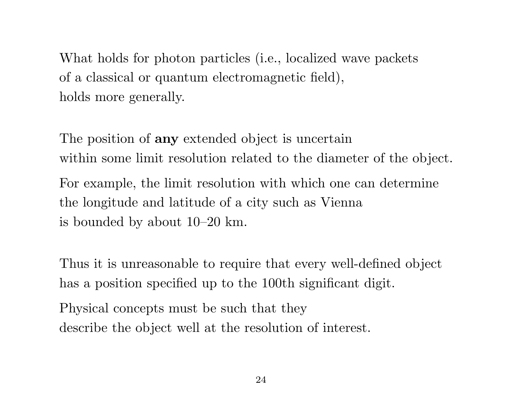What holds for photon particles (i.e., localized wave packets of a classical or quantum electromagnetic field), holds more generally.

The position of **any** extended object is uncertain within some limit resolution related to the diameter of the object. For example, the limit resolution with which one can determine the longitude and latitude of a city such as Vienna is bounded by about 10–20 km.

Thus it is unreasonable to require that every well-defined object has a position specified up to the 100th significant digit.

Physical concepts must be such that they describe the object well at the resolution of interest.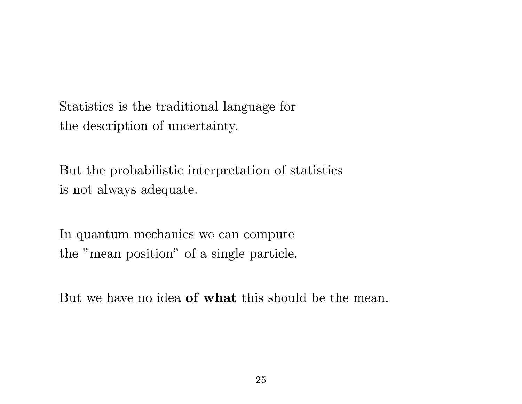Statistics is the traditional language for the description of uncertainty.

But the probabilistic interpretation of statistics is not always adequate.

In quantum mechanics we can compute the "mean position" of a single particle.

But we have no idea **of what** this should be the mean.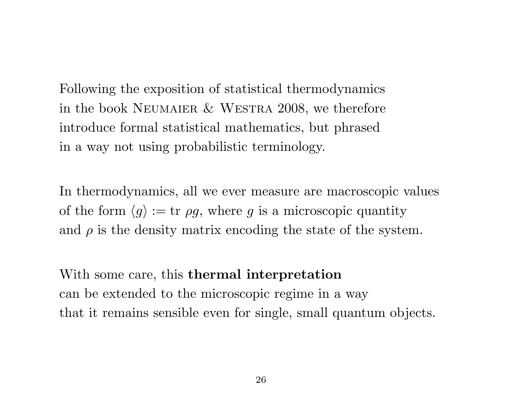Following the exposition of statistical thermodynamics in the book Neumaier & Westra 2008, we therefore introduce formal statistical mathematics, but phrased in a way not using probabilistic terminology.

In thermodynamics, all we ever measure are macroscopic values of the form  $\langle g \rangle := \text{tr } \rho g$ , where g is a microscopic quantity and  $\rho$  is the density matrix encoding the state of the system.

With some care, this **thermal interpretation** can be extended to the microscopic regime in a way that it remains sensible even for single, small quantum objects.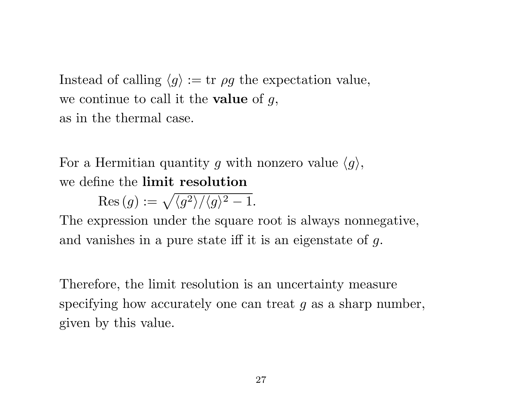Instead of calling  $\langle g \rangle := \text{tr } \rho g$  the expectation value, we continue to call it the **value** of  $g$ , as in the thermal case.

For a Hermitian quantity g with nonzero value  $\langle g \rangle$ , we define the limit resolution

 $\text{Res}(g) := \sqrt{\langle g^2 \rangle / \langle g \rangle^2 - 1}.$ 

The expression under the square root is always nonnegative, and vanishes in a pure state iff it is an eigenstate of g.

Therefore, the limit resolution is an uncertainty measure specifying how accurately one can treat g as a sharp number, given by this value.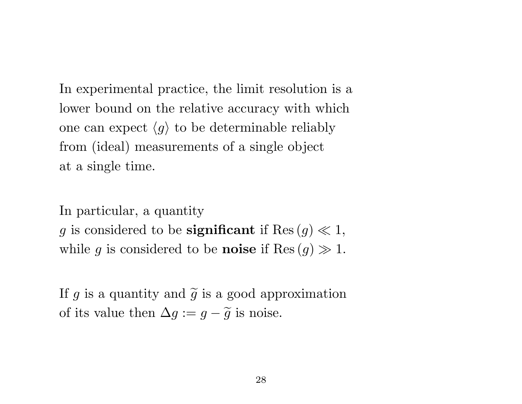In experimental practice, the limit resolution is a lower bound on the relative accuracy with which one can expect  $\langle g \rangle$  to be determinable reliably from (ideal) measurements of a single object at a single time.

In particular, a quantity g is considered to be **significant** if  $\text{Res}(g) \ll 1$ , while g is considered to be **noise** if  $\text{Res}(g) \gg 1$ .

If g is a quantity and  $\tilde{g}$  is a good approximation of its value then  $\Delta g := g - \tilde{g}$  is noise.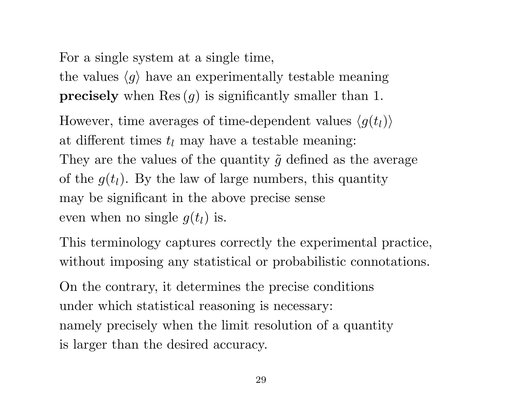For a single system at a single time,

the values  $\langle g \rangle$  have an experimentally testable meaning **precisely** when  $\text{Res}(g)$  is significantly smaller than 1.

However, time averages of time-dependent values  $\langle g(t_l) \rangle$ at different times  $t_l$  may have a testable meaning: They are the values of the quantity  $\tilde{g}$  defined as the average of the  $g(t_l)$ . By the law of large numbers, this quantity may be significant in the above precise sense even when no single  $g(t_l)$  is.

This terminology captures correctly the experimental practice, without imposing any statistical or probabilistic connotations.

On the contrary, it determines the precise conditions under which statistical reasoning is necessary: namely precisely when the limit resolution of a quantity is larger than the desired accuracy.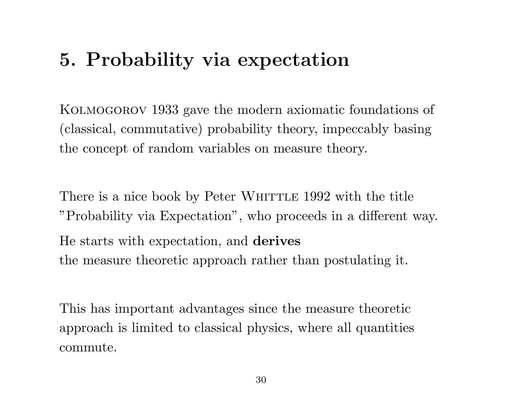# 5. Probability via expectation

KOLMOGOROV 1933 gave the modern axiomatic foundations of (classical, commutative) probability theory, impeccably basing the concept of random variables on measure theory.

There is a nice book by Peter WHITTLE 1992 with the title "Probability via Expectation", who proceeds in a different way. He starts with expectation, and derives the measure theoretic approach rather than postulating it.

This has important advantages since the measure theoretic approach is limited to classical physics, where all quantities commute.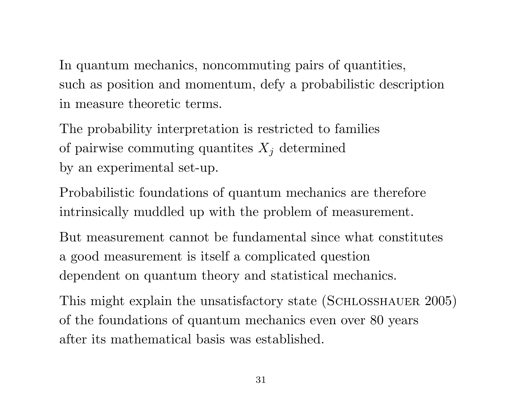In quantum mechanics, noncommuting pairs of quantities, such as position and momentum, defy a probabilistic description in measure theoretic terms.

The probability interpretation is restricted to families of pairwise commuting quantites  $X_j$  determined by an experimental set-up.

Probabilistic foundations of quantum mechanics are therefore intrinsically muddled up with the problem of measurement.

But measurement cannot be fundamental since what constitutes a good measurement is itself a complicated question dependent on quantum theory and statistical mechanics.

This might explain the unsatisfactory state (SCHLOSSHAUER 2005) of the foundations of quantum mechanics even over 80 years after its mathematical basis was established.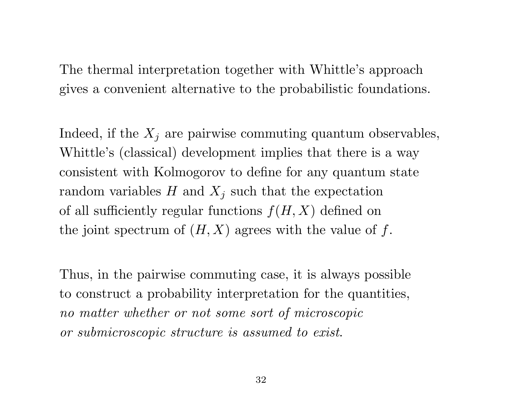The thermal interpretation together with Whittle's approach gives a convenient alternative to the probabilistic foundations.

Indeed, if the  $X_j$  are pairwise commuting quantum observables, Whittle's (classical) development implies that there is a way consistent with Kolmogorov to define for any quantum state random variables  $H$  and  $X_j$  such that the expectation of all sufficiently regular functions  $f(H, X)$  defined on the joint spectrum of  $(H, X)$  agrees with the value of f.

Thus, in the pairwise commuting case, it is always possible to construct a probability interpretation for the quantities, no matter whether or not some sort of microscopic or submicroscopic structure is assumed to exist.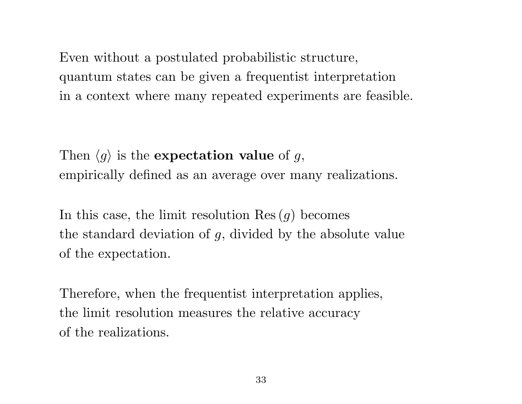Even without a postulated probabilistic structure, quantum states can be given a frequentist interpretation in a context where many repeated experiments are feasible.

Then  $\langle g \rangle$  is the expectation value of g, empirically defined as an average over many realizations.

In this case, the limit resolution  $\text{Res}(q)$  becomes the standard deviation of g, divided by the absolute value of the expectation.

Therefore, when the frequentist interpretation applies, the limit resolution measures the relative accuracy of the realizations.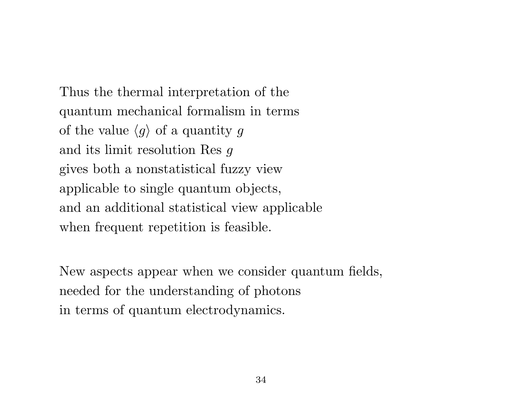Thus the thermal interpretation of the quantum mechanical formalism in terms of the value  $\langle g \rangle$  of a quantity g and its limit resolution Res g gives both a nonstatistical fuzzy view applicable to single quantum objects, and an additional statistical view applicable when frequent repetition is feasible.

New aspects appear when we consider quantum fields, needed for the understanding of photons in terms of quantum electrodynamics.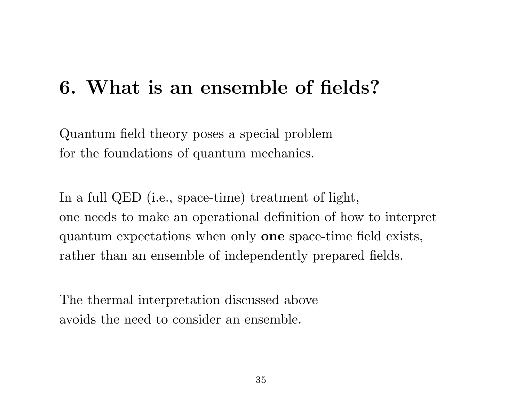# 6. What is an ensemble of fields?

Quantum field theory poses a special problem for the foundations of quantum mechanics.

In a full QED (i.e., space-time) treatment of light, one needs to make an operational definition of how to interpret quantum expectations when only one space-time field exists, rather than an ensemble of independently prepared fields.

The thermal interpretation discussed above avoids the need to consider an ensemble.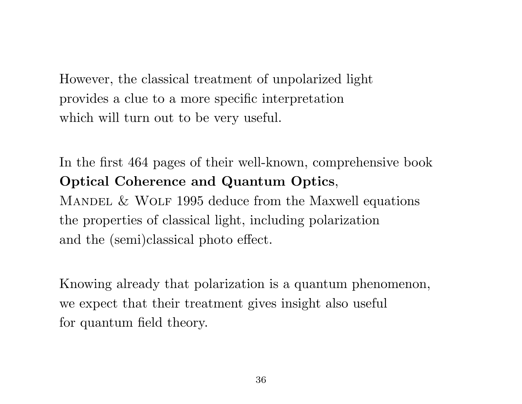However, the classical treatment of unpolarized light provides a clue to a more specific interpretation which will turn out to be very useful.

In the first 464 pages of their well-known, comprehensive book Optical Coherence and Quantum Optics, MANDEL  $&$  WOLF 1995 deduce from the Maxwell equations the properties of classical light, including polarization and the (semi)classical photo effect.

Knowing already that polarization is a quantum phenomenon, we expect that their treatment gives insight also useful for quantum field theory.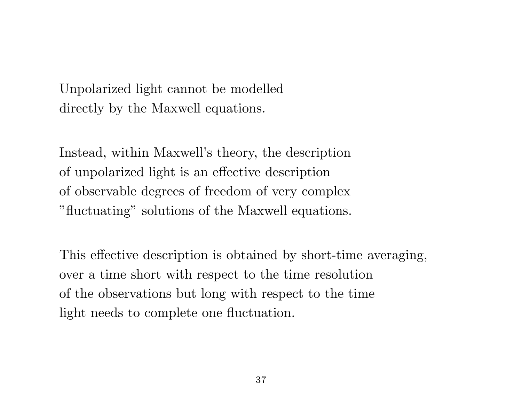Unpolarized light cannot be modelled directly by the Maxwell equations.

Instead, within Maxwell's theory, the description of unpolarized light is an effective description of observable degrees of freedom of very complex "fluctuating" solutions of the Maxwell equations.

This effective description is obtained by short-time averaging, over a time short with respect to the time resolution of the observations but long with respect to the time light needs to complete one fluctuation.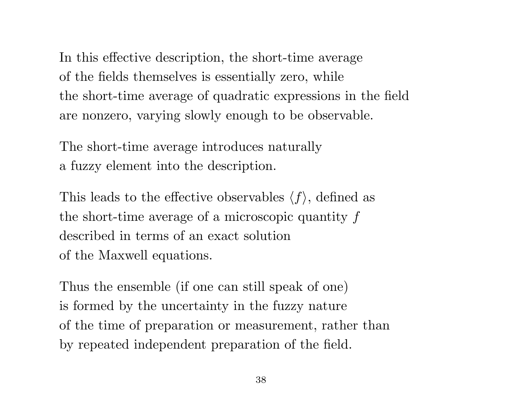In this effective description, the short-time average of the fields themselves is essentially zero, while the short-time average of quadratic expressions in the field are nonzero, varying slowly enough to be observable.

The short-time average introduces naturally a fuzzy element into the description.

This leads to the effective observables  $\langle f \rangle$ , defined as the short-time average of a microscopic quantity  $f$ described in terms of an exact solution of the Maxwell equations.

Thus the ensemble (if one can still speak of one) is formed by the uncertainty in the fuzzy nature of the time of preparation or measurement, rather than by repeated independent preparation of the field.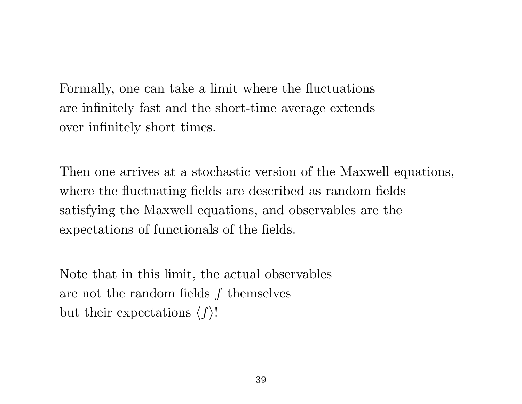Formally, one can take a limit where the fluctuations are infinitely fast and the short-time average extends over infinitely short times.

Then one arrives at a stochastic version of the Maxwell equations, where the fluctuating fields are described as random fields satisfying the Maxwell equations, and observables are the expectations of functionals of the fields.

Note that in this limit, the actual observables are not the random fields  $f$  themselves but their expectations  $\langle f \rangle!$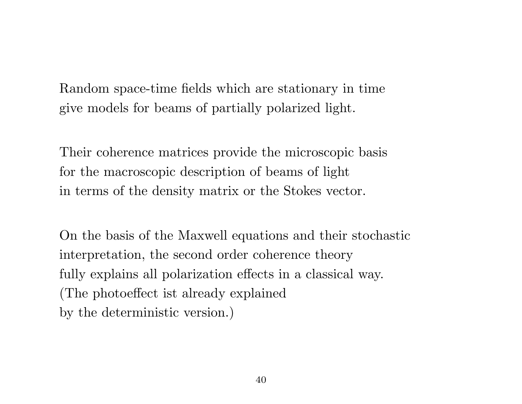Random space-time fields which are stationary in time give models for beams of partially polarized light.

Their coherence matrices provide the microscopic basis for the macroscopic description of beams of light in terms of the density matrix or the Stokes vector.

On the basis of the Maxwell equations and their stochastic interpretation, the second order coherence theory fully explains all polarization effects in a classical way. (The photoeffect ist already explained by the deterministic version.)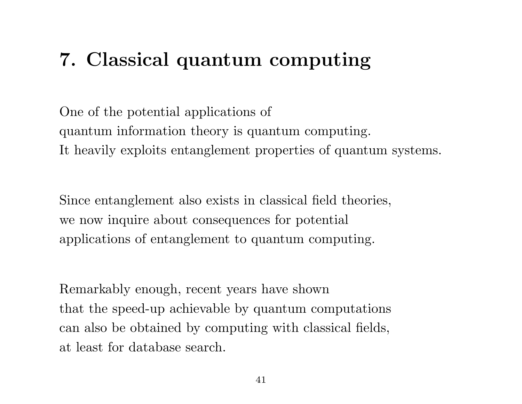# 7. Classical quantum computing

One of the potential applications of quantum information theory is quantum computing. It heavily exploits entanglement properties of quantum systems.

Since entanglement also exists in classical field theories, we now inquire about consequences for potential applications of entanglement to quantum computing.

Remarkably enough, recent years have shown that the speed-up achievable by quantum computations can also be obtained by computing with classical fields, at least for database search.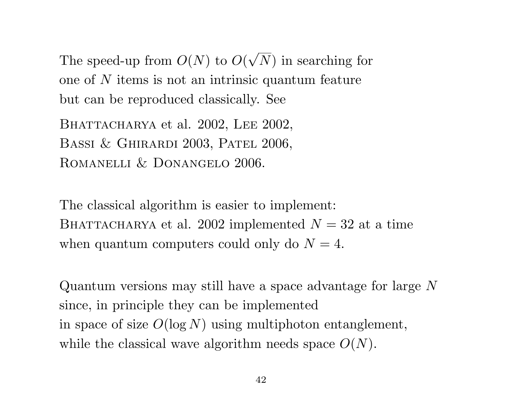The speed-up from  $O(N)$  to  $O(N)$ √ N) in searching for one of N items is not an intrinsic quantum feature but can be reproduced classically. See

BHATTACHARYA et al. 2002, LEE 2002, BASSI & GHIRARDI 2003, PATEL 2006, Romanelli & Donangelo 2006.

The classical algorithm is easier to implement: BHATTACHARYA et al. 2002 implemented  $N = 32$  at a time when quantum computers could only do  $N = 4$ .

Quantum versions may still have a space advantage for large N since, in principle they can be implemented in space of size  $O(\log N)$  using multiphoton entanglement, while the classical wave algorithm needs space  $O(N)$ .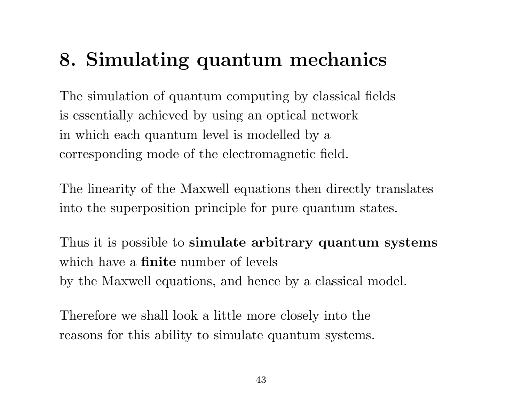# 8. Simulating quantum mechanics

The simulation of quantum computing by classical fields is essentially achieved by using an optical network in which each quantum level is modelled by a corresponding mode of the electromagnetic field.

The linearity of the Maxwell equations then directly translates into the superposition principle for pure quantum states.

Thus it is possible to simulate arbitrary quantum systems which have a **finite** number of levels by the Maxwell equations, and hence by a classical model.

Therefore we shall look a little more closely into the reasons for this ability to simulate quantum systems.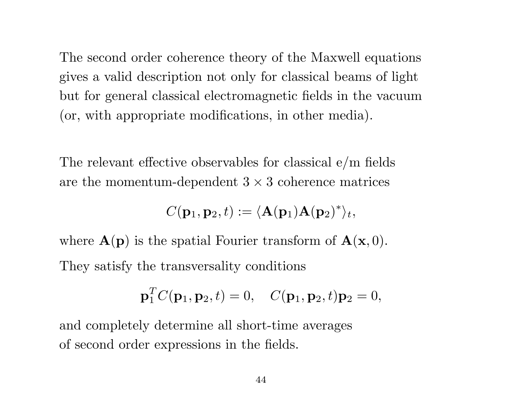The second order coherence theory of the Maxwell equations gives a valid description not only for classical beams of light but for general classical electromagnetic fields in the vacuum (or, with appropriate modifications, in other media).

The relevant effective observables for classical e/m fields are the momentum-dependent  $3 \times 3$  coherence matrices

$$
C(\mathbf{p}_1, \mathbf{p}_2, t) := \langle \mathbf{A}(\mathbf{p}_1) \mathbf{A}(\mathbf{p}_2)^* \rangle_t,
$$

where  $\mathbf{A}(\mathbf{p})$  is the spatial Fourier transform of  $\mathbf{A}(\mathbf{x},0)$ . They satisfy the transversality conditions

$$
\mathbf{p}_1^T C(\mathbf{p}_1, \mathbf{p}_2, t) = 0, \quad C(\mathbf{p}_1, \mathbf{p}_2, t)\mathbf{p}_2 = 0,
$$

and completely determine all short-time averages of second order expressions in the fields.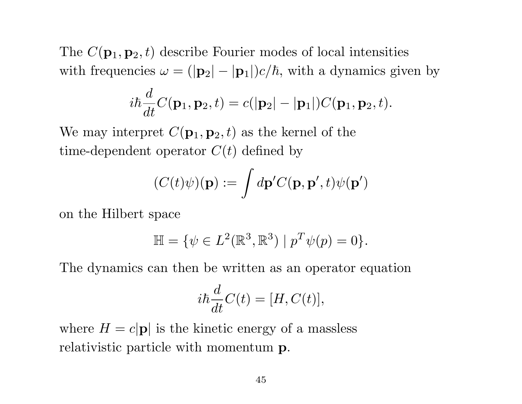The  $C(\mathbf{p}_1, \mathbf{p}_2, t)$  describe Fourier modes of local intensities with frequencies  $\omega = (|\mathbf{p}_2| - |\mathbf{p}_1|)c/\hbar$ , with a dynamics given by

$$
i\hbar \frac{d}{dt}C(\mathbf{p}_1, \mathbf{p}_2, t) = c(|\mathbf{p}_2| - |\mathbf{p}_1|)C(\mathbf{p}_1, \mathbf{p}_2, t).
$$

We may interpret  $C(\mathbf{p}_1, \mathbf{p}_2, t)$  as the kernel of the time-dependent operator  $C(t)$  defined by

$$
(C(t)\psi)(\mathbf{p}) := \int d\mathbf{p}' C(\mathbf{p}, \mathbf{p}', t)\psi(\mathbf{p}')
$$

on the Hilbert space

$$
\mathbb{H} = \{ \psi \in L^2(\mathbb{R}^3, \mathbb{R}^3) \mid p^T \psi(p) = 0 \}.
$$

The dynamics can then be written as an operator equation

$$
i\hbar \frac{d}{dt}C(t) = [H, C(t)],
$$

where  $H = c|\mathbf{p}|$  is the kinetic energy of a massless relativistic particle with momentum p.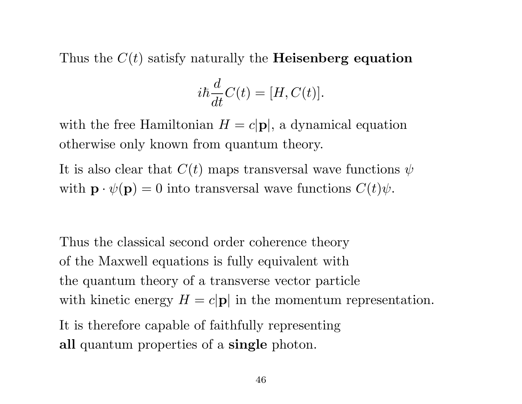Thus the  $C(t)$  satisfy naturally the **Heisenberg equation** 

$$
i\hbar \frac{d}{dt}C(t) = [H, C(t)].
$$

with the free Hamiltonian  $H = c|\mathbf{p}|$ , a dynamical equation otherwise only known from quantum theory.

It is also clear that  $C(t)$  maps transversal wave functions  $\psi$ with  $\mathbf{p} \cdot \psi(\mathbf{p}) = 0$  into transversal wave functions  $C(t)\psi$ .

Thus the classical second order coherence theory of the Maxwell equations is fully equivalent with the quantum theory of a transverse vector particle with kinetic energy  $H = c|\mathbf{p}|$  in the momentum representation. It is therefore capable of faithfully representing all quantum properties of a single photon.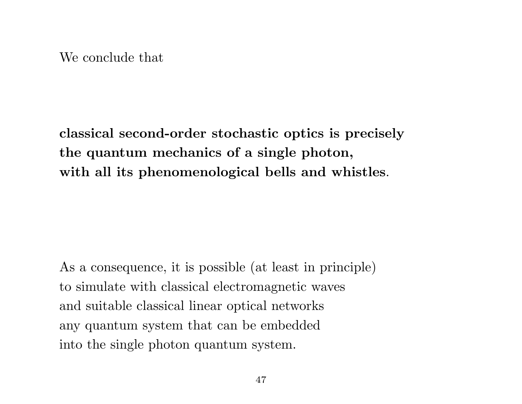We conclude that

classical second-order stochastic optics is precisely the quantum mechanics of a single photon, with all its phenomenological bells and whistles.

As a consequence, it is possible (at least in principle) to simulate with classical electromagnetic waves and suitable classical linear optical networks any quantum system that can be embedded into the single photon quantum system.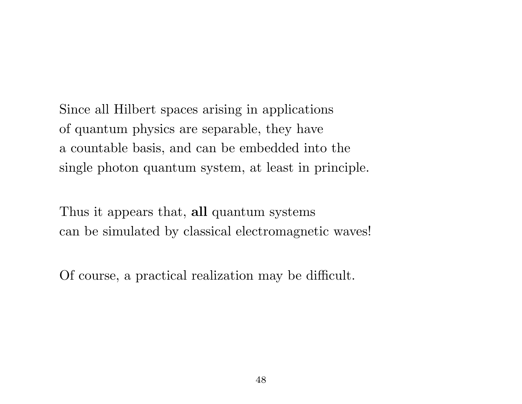Since all Hilbert spaces arising in applications of quantum physics are separable, they have a countable basis, and can be embedded into the single photon quantum system, at least in principle.

Thus it appears that, all quantum systems can be simulated by classical electromagnetic waves!

Of course, a practical realization may be difficult.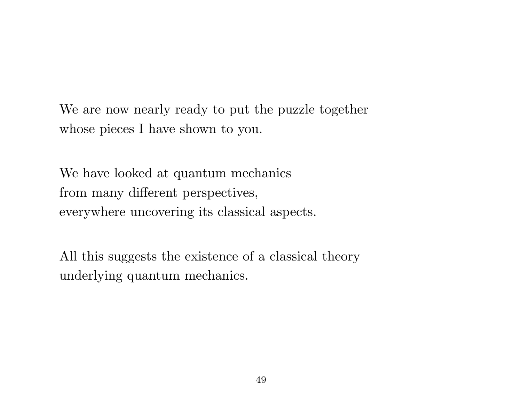We are now nearly ready to put the puzzle together whose pieces I have shown to you.

We have looked at quantum mechanics from many different perspectives, everywhere uncovering its classical aspects.

All this suggests the existence of a classical theory underlying quantum mechanics.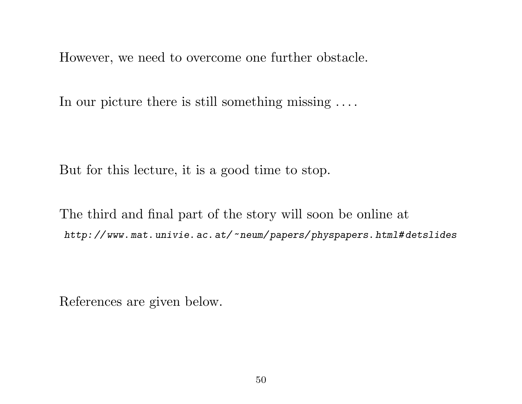However, we need to overcome one further obstacle.

In our picture there is still something missing . . . .

But for this lecture, it is a good time to stop.

The third and final part of the story will soon be online at http: // www. mat. univie. ac. at/~neum/ papers/ physpapers. html# detslides

References are given below.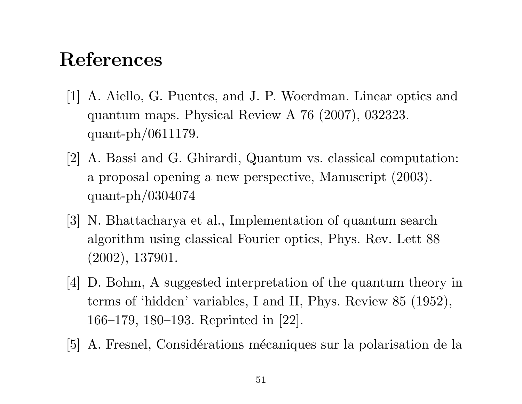### References

- [1] A. Aiello, G. Puentes, and J. P. Woerdman. Linear optics and quantum maps. Physical Review A 76 (2007), 032323. quant-ph/0611179.
- [2] A. Bassi and G. Ghirardi, Quantum vs. classical computation: a proposal opening a new perspective, Manuscript (2003). quant-ph/0304074
- [3] N. Bhattacharya et al., Implementation of quantum search algorithm using classical Fourier optics, Phys. Rev. Lett 88 (2002), 137901.
- [4] D. Bohm, A suggested interpretation of the quantum theory in terms of 'hidden' variables, I and II, Phys. Review 85 (1952), 166–179, 180–193. Reprinted in [22].
- [5] A. Fresnel, Considérations mécaniques sur la polarisation de la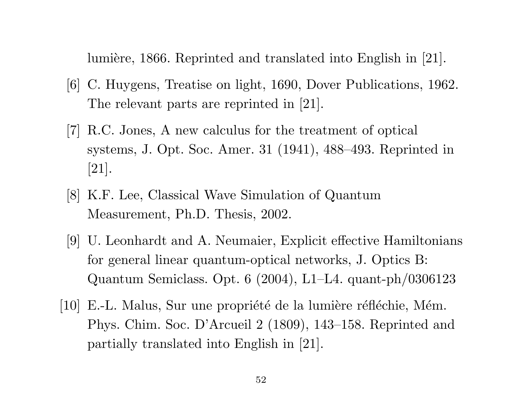lumière, 1866. Reprinted and translated into English in [21].

- [6] C. Huygens, Treatise on light, 1690, Dover Publications, 1962. The relevant parts are reprinted in [21].
- [7] R.C. Jones, A new calculus for the treatment of optical systems, J. Opt. Soc. Amer. 31 (1941), 488–493. Reprinted in [21].
- [8] K.F. Lee, Classical Wave Simulation of Quantum Measurement, Ph.D. Thesis, 2002.
- [9] U. Leonhardt and A. Neumaier, Explicit effective Hamiltonians for general linear quantum-optical networks, J. Optics B: Quantum Semiclass. Opt. 6 (2004), L1–L4. quant-ph/0306123
- [10] E.-L. Malus, Sur une propriété de la lumière réfléchie, Mém. Phys. Chim. Soc. D'Arcueil 2 (1809), 143–158. Reprinted and partially translated into English in [21].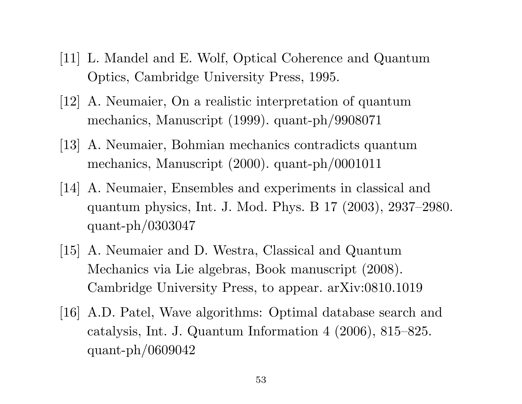- [11] L. Mandel and E. Wolf, Optical Coherence and Quantum Optics, Cambridge University Press, 1995.
- [12] A. Neumaier, On a realistic interpretation of quantum mechanics, Manuscript (1999). quant-ph/9908071
- [13] A. Neumaier, Bohmian mechanics contradicts quantum mechanics, Manuscript (2000). quant-ph/0001011
- [14] A. Neumaier, Ensembles and experiments in classical and quantum physics, Int. J. Mod. Phys. B 17 (2003), 2937–2980. quant-ph/0303047
- [15] A. Neumaier and D. Westra, Classical and Quantum Mechanics via Lie algebras, Book manuscript (2008). Cambridge University Press, to appear. arXiv:0810.1019
- [16] A.D. Patel, Wave algorithms: Optimal database search and catalysis, Int. J. Quantum Information 4 (2006), 815–825. quant-ph/0609042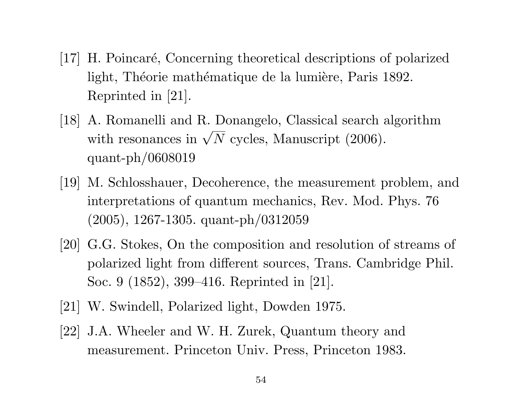- [17] H. Poincaré, Concerning theoretical descriptions of polarized light, Théorie mathématique de la lumière, Paris 1892. Reprinted in [21].
- [18] A. Romanelli and R. Donangelo, Classical search algorithm A. Romancelland R. Donangelo, Classical search and with resonances in  $\sqrt{N}$  cycles, Manuscript (2006). quant-ph/0608019
- [19] M. Schlosshauer, Decoherence, the measurement problem, and interpretations of quantum mechanics, Rev. Mod. Phys. 76 (2005), 1267-1305. quant-ph/0312059
- [20] G.G. Stokes, On the composition and resolution of streams of polarized light from different sources, Trans. Cambridge Phil. Soc. 9 (1852), 399–416. Reprinted in [21].
- [21] W. Swindell, Polarized light, Dowden 1975.
- [22] J.A. Wheeler and W. H. Zurek, Quantum theory and measurement. Princeton Univ. Press, Princeton 1983.